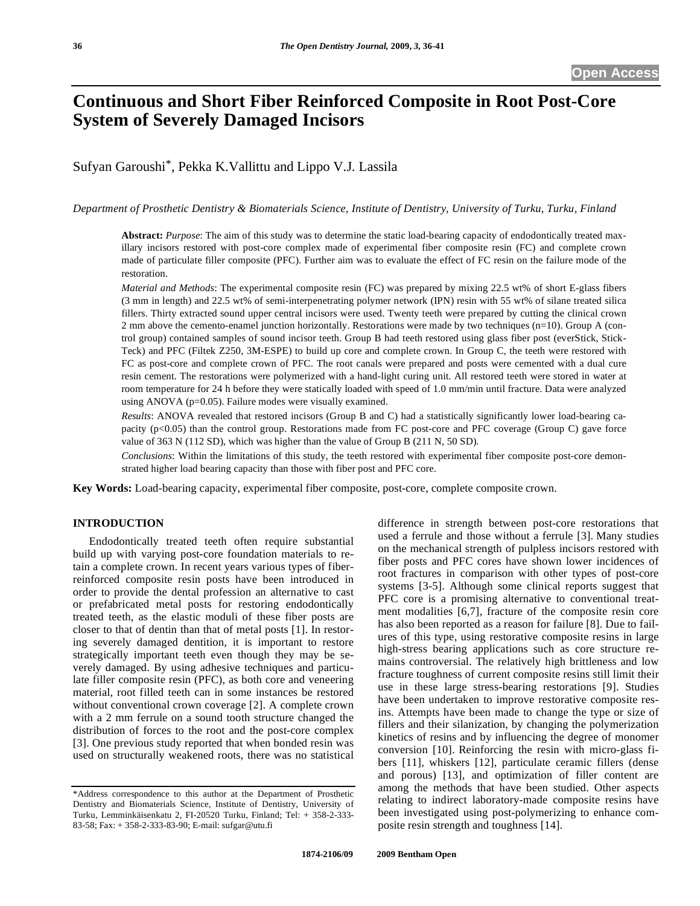# **Continuous and Short Fiber Reinforced Composite in Root Post-Core System of Severely Damaged Incisors**

Sufyan Garoushi\*, Pekka K.Vallittu and Lippo V.J. Lassila

*Department of Prosthetic Dentistry & Biomaterials Science, Institute of Dentistry, University of Turku, Turku, Finland*

**Abstract:** *Purpose*: The aim of this study was to determine the static load-bearing capacity of endodontically treated maxillary incisors restored with post-core complex made of experimental fiber composite resin (FC) and complete crown made of particulate filler composite (PFC). Further aim was to evaluate the effect of FC resin on the failure mode of the restoration.

*Material and Methods*: The experimental composite resin (FC) was prepared by mixing 22.5 wt% of short E-glass fibers (3 mm in length) and 22.5 wt% of semi-interpenetrating polymer network (IPN) resin with 55 wt% of silane treated silica fillers. Thirty extracted sound upper central incisors were used. Twenty teeth were prepared by cutting the clinical crown 2 mm above the cemento-enamel junction horizontally. Restorations were made by two techniques (n=10). Group A (control group) contained samples of sound incisor teeth. Group B had teeth restored using glass fiber post (everStick, Stick-Teck) and PFC (Filtek Z250, 3M-ESPE) to build up core and complete crown. In Group C, the teeth were restored with FC as post-core and complete crown of PFC. The root canals were prepared and posts were cemented with a dual cure resin cement. The restorations were polymerized with a hand-light curing unit. All restored teeth were stored in water at room temperature for 24 h before they were statically loaded with speed of 1.0 mm/min until fracture. Data were analyzed using ANOVA (p=0.05). Failure modes were visually examined.

*Results*: ANOVA revealed that restored incisors (Group B and C) had a statistically significantly lower load-bearing capacity (p<0.05) than the control group. Restorations made from FC post-core and PFC coverage (Group C) gave force value of 363 N (112 SD), which was higher than the value of Group B (211 N, 50 SD).

*Conclusions*: Within the limitations of this study, the teeth restored with experimental fiber composite post-core demonstrated higher load bearing capacity than those with fiber post and PFC core.

**Key Words:** Load-bearing capacity, experimental fiber composite, post-core, complete composite crown.

# **INTRODUCTION**

 Endodontically treated teeth often require substantial build up with varying post-core foundation materials to retain a complete crown. In recent years various types of fiberreinforced composite resin posts have been introduced in order to provide the dental profession an alternative to cast or prefabricated metal posts for restoring endodontically treated teeth, as the elastic moduli of these fiber posts are closer to that of dentin than that of metal posts [1]. In restoring severely damaged dentition, it is important to restore strategically important teeth even though they may be severely damaged. By using adhesive techniques and particulate filler composite resin (PFC), as both core and veneering material, root filled teeth can in some instances be restored without conventional crown coverage [2]. A complete crown with a 2 mm ferrule on a sound tooth structure changed the distribution of forces to the root and the post-core complex [3]. One previous study reported that when bonded resin was used on structurally weakened roots, there was no statistical

difference in strength between post-core restorations that used a ferrule and those without a ferrule [3]. Many studies on the mechanical strength of pulpless incisors restored with fiber posts and PFC cores have shown lower incidences of root fractures in comparison with other types of post-core systems [3-5]. Although some clinical reports suggest that PFC core is a promising alternative to conventional treatment modalities [6,7], fracture of the composite resin core has also been reported as a reason for failure [8]. Due to failures of this type, using restorative composite resins in large high-stress bearing applications such as core structure remains controversial. The relatively high brittleness and low fracture toughness of current composite resins still limit their use in these large stress-bearing restorations [9]. Studies have been undertaken to improve restorative composite resins. Attempts have been made to change the type or size of fillers and their silanization, by changing the polymerization kinetics of resins and by influencing the degree of monomer conversion [10]. Reinforcing the resin with micro-glass fibers [11], whiskers [12], particulate ceramic fillers (dense and porous) [13], and optimization of filler content are among the methods that have been studied. Other aspects relating to indirect laboratory-made composite resins have been investigated using post-polymerizing to enhance composite resin strength and toughness [14].

<sup>\*</sup>Address correspondence to this author at the Department of Prosthetic Dentistry and Biomaterials Science, Institute of Dentistry, University of Turku, Lemminkäisenkatu 2, FI-20520 Turku, Finland; Tel: + 358-2-333- 83-58; Fax: + 358-2-333-83-90; E-mail: sufgar@utu.fi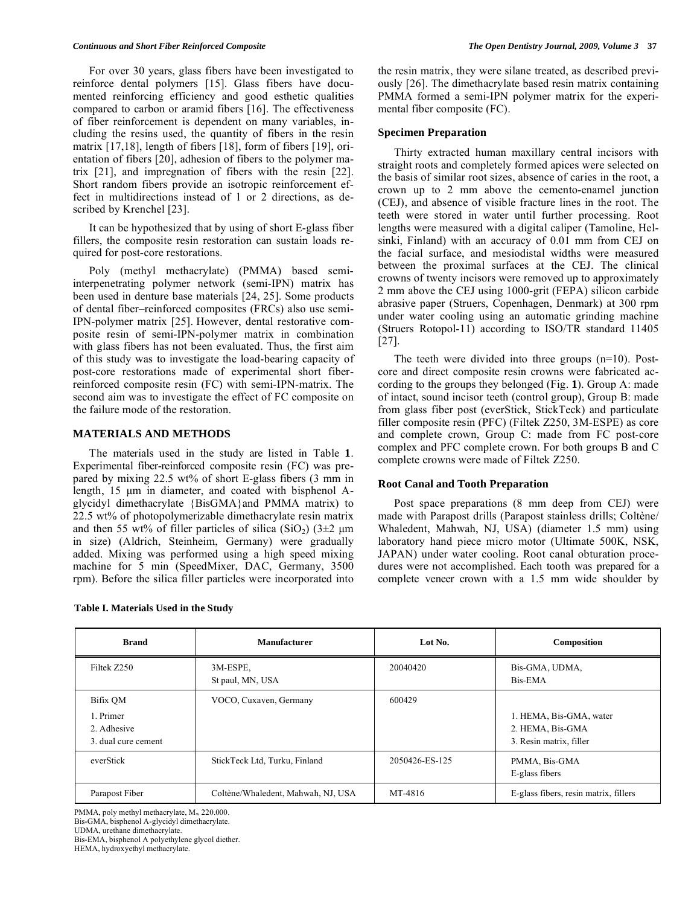For over 30 years, glass fibers have been investigated to reinforce dental polymers [15]. Glass fibers have documented reinforcing efficiency and good esthetic qualities compared to carbon or aramid fibers [16]. The effectiveness of fiber reinforcement is dependent on many variables, including the resins used, the quantity of fibers in the resin matrix [17,18], length of fibers [18], form of fibers [19], orientation of fibers [20], adhesion of fibers to the polymer matrix [21], and impregnation of fibers with the resin [22]. Short random fibers provide an isotropic reinforcement effect in multidirections instead of 1 or 2 directions, as described by Krenchel [23].

 It can be hypothesized that by using of short E-glass fiber fillers, the composite resin restoration can sustain loads required for post-core restorations.

 Poly (methyl methacrylate) (PMMA) based semiinterpenetrating polymer network (semi-IPN) matrix has been used in denture base materials [24, 25]. Some products of dental fiber–reinforced composites (FRCs) also use semi-IPN-polymer matrix [25]. However, dental restorative composite resin of semi-IPN-polymer matrix in combination with glass fibers has not been evaluated. Thus, the first aim of this study was to investigate the load-bearing capacity of post-core restorations made of experimental short fiberreinforced composite resin (FC) with semi-IPN-matrix. The second aim was to investigate the effect of FC composite on the failure mode of the restoration.

# **MATERIALS AND METHODS**

 The materials used in the study are listed in Table **1**. Experimental fiber-reinforced composite resin (FC) was prepared by mixing 22.5 wt% of short E-glass fibers (3 mm in length, 15 μm in diameter, and coated with bisphenol Aglycidyl dimethacrylate {BisGMA}and PMMA matrix) to 22.5 wt% of photopolymerizable dimethacrylate resin matrix and then 55 wt% of filler particles of silica (SiO<sub>2</sub>) ( $3\pm2$  µm in size) (Aldrich, Steinheim, Germany) were gradually added. Mixing was performed using a high speed mixing machine for 5 min (SpeedMixer, DAC, Germany, 3500 rpm). Before the silica filler particles were incorporated into

the resin matrix, they were silane treated, as described previously [26]. The dimethacrylate based resin matrix containing PMMA formed a semi-IPN polymer matrix for the experimental fiber composite (FC).

# **Specimen Preparation**

 Thirty extracted human maxillary central incisors with straight roots and completely formed apices were selected on the basis of similar root sizes, absence of caries in the root, a crown up to 2 mm above the cemento-enamel junction (CEJ), and absence of visible fracture lines in the root. The teeth were stored in water until further processing. Root lengths were measured with a digital caliper (Tamoline, Helsinki, Finland) with an accuracy of 0.01 mm from CEJ on the facial surface, and mesiodistal widths were measured between the proximal surfaces at the CEJ. The clinical crowns of twenty incisors were removed up to approximately 2 mm above the CEJ using 1000-grit (FEPA) silicon carbide abrasive paper (Struers, Copenhagen, Denmark) at 300 rpm under water cooling using an automatic grinding machine (Struers Rotopol-11) according to ISO/TR standard 11405 [27].

 The teeth were divided into three groups (n=10). Postcore and direct composite resin crowns were fabricated according to the groups they belonged (Fig. **1**). Group A: made of intact, sound incisor teeth (control group), Group B: made from glass fiber post (everStick, StickTeck) and particulate filler composite resin (PFC) (Filtek Z250, 3M-ESPE) as core and complete crown, Group C: made from FC post-core complex and PFC complete crown. For both groups B and C complete crowns were made of Filtek Z250.

# **Root Canal and Tooth Preparation**

 Post space preparations (8 mm deep from CEJ) were made with Parapost drills (Parapost stainless drills; Coltène/ Whaledent, Mahwah, NJ, USA) (diameter 1.5 mm) using laboratory hand piece micro motor (Ultimate 500K, NSK, JAPAN) under water cooling. Root canal obturation procedures were not accomplished. Each tooth was prepared for a complete veneer crown with a 1.5 mm wide shoulder by

| <b>Brand</b>                                    | <b>Manufacturer</b>                | Lot No.        | Composition                                                            |
|-------------------------------------------------|------------------------------------|----------------|------------------------------------------------------------------------|
| Filtek Z250                                     | 3M-ESPE,<br>St paul, MN, USA       | 20040420       | Bis-GMA, UDMA,<br>Bis-EMA                                              |
| Bifix OM                                        | VOCO, Cuxaven, Germany             | 600429         |                                                                        |
| 1. Primer<br>2. Adhesive<br>3. dual cure cement |                                    |                | 1. HEMA, Bis-GMA, water<br>2. HEMA, Bis-GMA<br>3. Resin matrix, filler |
| everStick                                       | StickTeck Ltd, Turku, Finland      | 2050426-ES-125 | PMMA, Bis-GMA<br>E-glass fibers                                        |
| Parapost Fiber                                  | Coltène/Whaledent, Mahwah, NJ, USA | MT-4816        | E-glass fibers, resin matrix, fillers                                  |

PMMA, poly methyl methacrylate, M<sub>w</sub> 220.000. Bis-GMA, bisphenol A-glycidyl dimethacrylate. UDMA, urethane dimethacrylate. Bis-EMA, bisphenol A polyethylene glycol diether. HEMA, hydroxyethyl methacrylate.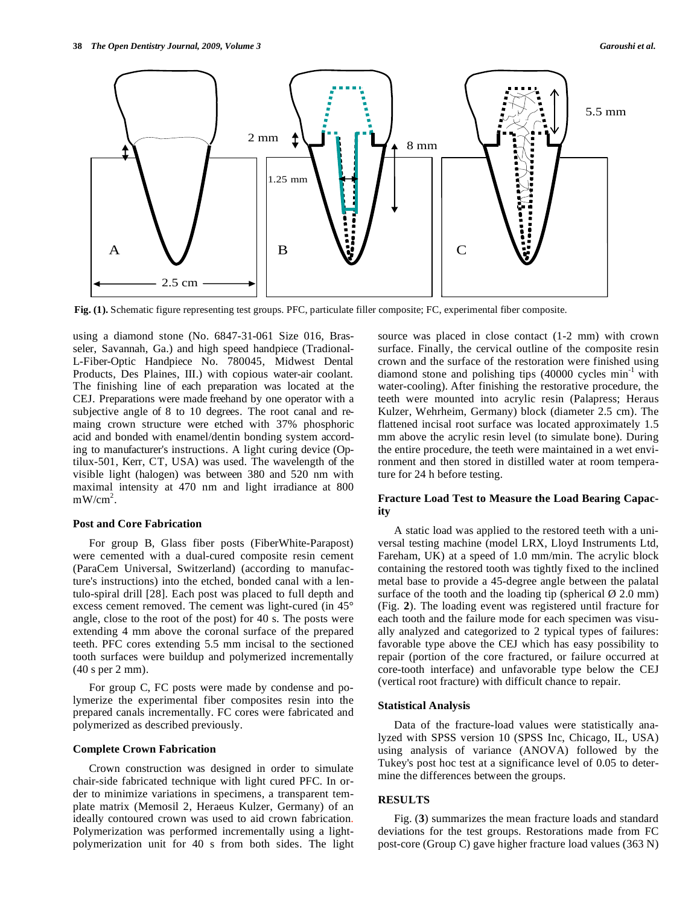

**Fig. (1).** Schematic figure representing test groups. PFC, particulate filler composite; FC, experimental fiber composite.

using a diamond stone (No. 6847-31-061 Size 016, Brasseler, Savannah, Ga.) and high speed handpiece (Tradional-L-Fiber-Optic Handpiece No. 780045, Midwest Dental Products, Des Plaines, III.) with copious water-air coolant. The finishing line of each preparation was located at the CEJ. Preparations were made freehand by one operator with a subjective angle of 8 to 10 degrees. The root canal and remaing crown structure were etched with 37% phosphoric acid and bonded with enamel/dentin bonding system according to manufacturer's instructions. A light curing device (Optilux-501, Kerr, CT, USA) was used. The wavelength of the visible light (halogen) was between 380 and 520 nm with maximal intensity at 470 nm and light irradiance at 800  $mW/cm<sup>2</sup>$ .

#### **Post and Core Fabrication**

 For group B, Glass fiber posts (FiberWhite-Parapost) were cemented with a dual-cured composite resin cement (ParaCem Universal, Switzerland) (according to manufacture's instructions) into the etched, bonded canal with a lentulo-spiral drill [28]. Each post was placed to full depth and excess cement removed. The cement was light-cured (in 45° angle, close to the root of the post) for 40 s. The posts were extending 4 mm above the coronal surface of the prepared teeth. PFC cores extending 5.5 mm incisal to the sectioned tooth surfaces were buildup and polymerized incrementally (40 s per 2 mm).

 For group C, FC posts were made by condense and polymerize the experimental fiber composites resin into the prepared canals incrementally. FC cores were fabricated and polymerized as described previously.

#### **Complete Crown Fabrication**

 Crown construction was designed in order to simulate chair-side fabricated technique with light cured PFC. In order to minimize variations in specimens, a transparent template matrix (Memosil 2, Heraeus Kulzer, Germany) of an ideally contoured crown was used to aid crown fabrication. Polymerization was performed incrementally using a lightpolymerization unit for 40 s from both sides. The light source was placed in close contact (1-2 mm) with crown surface. Finally, the cervical outline of the composite resin crown and the surface of the restoration were finished using diamond stone and polishing tips  $(40000 \text{ cycles min}^{-1} \text{ with}$ water-cooling). After finishing the restorative procedure, the teeth were mounted into acrylic resin (Palapress; Heraus Kulzer, Wehrheim, Germany) block (diameter 2.5 cm). The flattened incisal root surface was located approximately 1.5 mm above the acrylic resin level (to simulate bone). During the entire procedure, the teeth were maintained in a wet environment and then stored in distilled water at room temperature for 24 h before testing.

# **Fracture Load Test to Measure the Load Bearing Capacity**

 A static load was applied to the restored teeth with a universal testing machine (model LRX, Lloyd Instruments Ltd, Fareham, UK) at a speed of 1.0 mm/min. The acrylic block containing the restored tooth was tightly fixed to the inclined metal base to provide a 45-degree angle between the palatal surface of the tooth and the loading tip (spherical  $\varnothing$  2.0 mm) (Fig. **2**). The loading event was registered until fracture for each tooth and the failure mode for each specimen was visually analyzed and categorized to 2 typical types of failures: favorable type above the CEJ which has easy possibility to repair (portion of the core fractured, or failure occurred at core-tooth interface) and unfavorable type below the CEJ (vertical root fracture) with difficult chance to repair.

#### **Statistical Analysis**

 Data of the fracture-load values were statistically analyzed with SPSS version 10 (SPSS Inc, Chicago, IL, USA) using analysis of variance (ANOVA) followed by the Tukey's post hoc test at a significance level of 0.05 to determine the differences between the groups.

# **RESULTS**

 Fig. (**3**) summarizes the mean fracture loads and standard deviations for the test groups. Restorations made from FC post-core (Group C) gave higher fracture load values (363 N)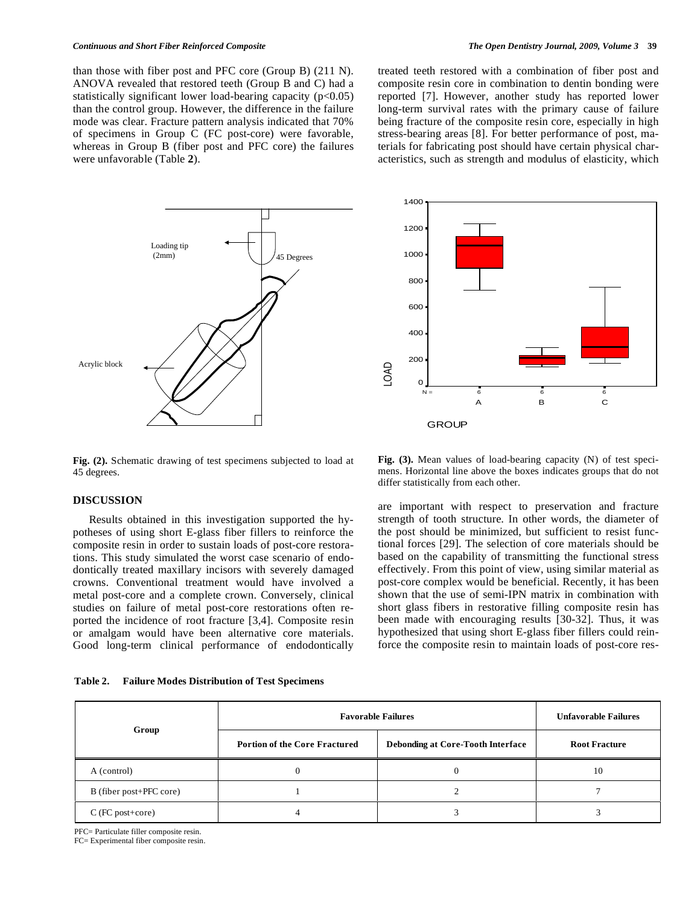than those with fiber post and PFC core (Group B) (211 N). ANOVA revealed that restored teeth (Group B and C) had a statistically significant lower load-bearing capacity  $(p<0.05)$ than the control group. However, the difference in the failure mode was clear. Fracture pattern analysis indicated that 70% of specimens in Group C (FC post-core) were favorable, whereas in Group B (fiber post and PFC core) the failures were unfavorable (Table **2**).

**Degrees** Loading tip (2mm) Acrylic block

**Fig. (2).** Schematic drawing of test specimens subjected to load at 45 degrees.

# **DISCUSSION**

 Results obtained in this investigation supported the hypotheses of using short E-glass fiber fillers to reinforce the composite resin in order to sustain loads of post-core restorations. This study simulated the worst case scenario of endodontically treated maxillary incisors with severely damaged crowns. Conventional treatment would have involved a metal post-core and a complete crown. Conversely, clinical studies on failure of metal post-core restorations often reported the incidence of root fracture [3,4]. Composite resin or amalgam would have been alternative core materials. Good long-term clinical performance of endodontically

**Table 2. Failure Modes Distribution of Test Specimens** 

treated teeth restored with a combination of fiber post and composite resin core in combination to dentin bonding were reported [7]. However, another study has reported lower long-term survival rates with the primary cause of failure being fracture of the composite resin core, especially in high stress-bearing areas [8]. For better performance of post, materials for fabricating post should have certain physical characteristics, such as strength and modulus of elasticity, which



**Fig. (3).** Mean values of load-bearing capacity (N) of test specimens. Horizontal line above the boxes indicates groups that do not differ statistically from each other.

are important with respect to preservation and fracture strength of tooth structure. In other words, the diameter of the post should be minimized, but sufficient to resist functional forces [29]. The selection of core materials should be based on the capability of transmitting the functional stress effectively. From this point of view, using similar material as post-core complex would be beneficial. Recently, it has been shown that the use of semi-IPN matrix in combination with short glass fibers in restorative filling composite resin has been made with encouraging results [30-32]. Thus, it was hypothesized that using short E-glass fiber fillers could reinforce the composite resin to maintain loads of post-core res-

|                         | <b>Favorable Failures</b>            |                                          | <b>Unfavorable Failures</b> |
|-------------------------|--------------------------------------|------------------------------------------|-----------------------------|
| Group                   | <b>Portion of the Core Fractured</b> | <b>Debonding at Core-Tooth Interface</b> | <b>Root Fracture</b>        |
| A (control)             |                                      | 0                                        | 10                          |
| B (fiber post+PFC core) |                                      |                                          |                             |
| $C$ (FC post+core)      |                                      |                                          |                             |

PFC= Particulate filler composite resin.

FC= Experimental fiber composite resin.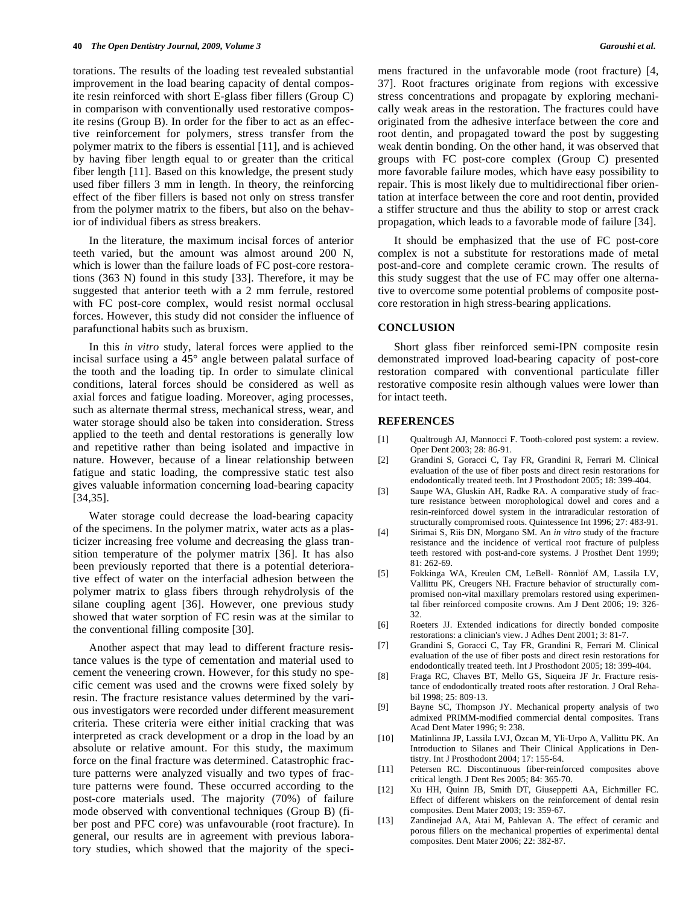torations. The results of the loading test revealed substantial improvement in the load bearing capacity of dental composite resin reinforced with short E-glass fiber fillers (Group C) in comparison with conventionally used restorative composite resins (Group B). In order for the fiber to act as an effective reinforcement for polymers, stress transfer from the polymer matrix to the fibers is essential [11], and is achieved by having fiber length equal to or greater than the critical fiber length [11]. Based on this knowledge, the present study used fiber fillers 3 mm in length. In theory, the reinforcing effect of the fiber fillers is based not only on stress transfer from the polymer matrix to the fibers, but also on the behavior of individual fibers as stress breakers.

 In the literature, the maximum incisal forces of anterior teeth varied, but the amount was almost around 200 N, which is lower than the failure loads of FC post-core restorations (363 N) found in this study [33]. Therefore, it may be suggested that anterior teeth with a 2 mm ferrule, restored with FC post-core complex, would resist normal occlusal forces. However, this study did not consider the influence of parafunctional habits such as bruxism.

 In this *in vitro* study, lateral forces were applied to the incisal surface using a 45° angle between palatal surface of the tooth and the loading tip. In order to simulate clinical conditions, lateral forces should be considered as well as axial forces and fatigue loading. Moreover, aging processes, such as alternate thermal stress, mechanical stress, wear, and water storage should also be taken into consideration. Stress applied to the teeth and dental restorations is generally low and repetitive rather than being isolated and impactive in nature. However, because of a linear relationship between fatigue and static loading, the compressive static test also gives valuable information concerning load-bearing capacity [34,35].

 Water storage could decrease the load-bearing capacity of the specimens. In the polymer matrix, water acts as a plasticizer increasing free volume and decreasing the glass transition temperature of the polymer matrix [36]. It has also been previously reported that there is a potential deteriorative effect of water on the interfacial adhesion between the polymer matrix to glass fibers through rehydrolysis of the silane coupling agent [36]. However, one previous study showed that water sorption of FC resin was at the similar to the conventional filling composite [30].

 Another aspect that may lead to different fracture resistance values is the type of cementation and material used to cement the veneering crown. However, for this study no specific cement was used and the crowns were fixed solely by resin. The fracture resistance values determined by the various investigators were recorded under different measurement criteria. These criteria were either initial cracking that was interpreted as crack development or a drop in the load by an absolute or relative amount. For this study, the maximum force on the final fracture was determined. Catastrophic fracture patterns were analyzed visually and two types of fracture patterns were found. These occurred according to the post-core materials used. The majority (70%) of failure mode observed with conventional techniques (Group B) (fiber post and PFC core) was unfavourable (root fracture). In general, our results are in agreement with previous laboratory studies, which showed that the majority of the specimens fractured in the unfavorable mode (root fracture) [4, 37]. Root fractures originate from regions with excessive stress concentrations and propagate by exploring mechanically weak areas in the restoration. The fractures could have originated from the adhesive interface between the core and root dentin, and propagated toward the post by suggesting weak dentin bonding. On the other hand, it was observed that groups with FC post-core complex (Group C) presented more favorable failure modes, which have easy possibility to repair. This is most likely due to multidirectional fiber orientation at interface between the core and root dentin, provided a stiffer structure and thus the ability to stop or arrest crack propagation, which leads to a favorable mode of failure [34].

 It should be emphasized that the use of FC post-core complex is not a substitute for restorations made of metal post-and-core and complete ceramic crown. The results of this study suggest that the use of FC may offer one alternative to overcome some potential problems of composite postcore restoration in high stress-bearing applications.

# **CONCLUSION**

 Short glass fiber reinforced semi-IPN composite resin demonstrated improved load-bearing capacity of post-core restoration compared with conventional particulate filler restorative composite resin although values were lower than for intact teeth.

# **REFERENCES**

- [1] Qualtrough AJ, Mannocci F. Tooth-colored post system: a review. Oper Dent 2003; 28: 86-91.
- [2] Grandini S, Goracci C, Tay FR, Grandini R, Ferrari M. Clinical evaluation of the use of fiber posts and direct resin restorations for endodontically treated teeth. Int J Prosthodont 2005; 18: 399-404.
- [3] Saupe WA, Gluskin AH, Radke RA. A comparative study of fracture resistance between morophological dowel and cores and a resin-reinforced dowel system in the intraradicular restoration of structurally compromised roots. Quintessence Int 1996; 27: 483-91.
- [4] Sirimai S, Riis DN, Morgano SM. An *in vitro* study of the fracture resistance and the incidence of vertical root fracture of pulpless teeth restored with post-and-core systems. J Prosthet Dent 1999; 81: 262-69.
- [5] Fokkinga WA, Kreulen CM, LeBell- Rönnlöf AM, Lassila LV, Vallittu PK, Creugers NH. Fracture behavior of structurally compromised non-vital maxillary premolars restored using experimental fiber reinforced composite crowns. Am J Dent 2006; 19: 326- 32.
- [6] Roeters JJ. Extended indications for directly bonded composite restorations: a clinician's view. J Adhes Dent 2001; 3: 81-7.
- [7] Grandini S, Goracci C, Tay FR, Grandini R, Ferrari M. Clinical evaluation of the use of fiber posts and direct resin restorations for endodontically treated teeth. Int J Prosthodont 2005; 18: 399-404.
- [8] Fraga RC, Chaves BT, Mello GS, Siqueira JF Jr. Fracture resistance of endodontically treated roots after restoration. J Oral Rehabil 1998; 25: 809-13.
- [9] Bayne SC, Thompson JY. Mechanical property analysis of two admixed PRIMM-modified commercial dental composites. Trans Acad Dent Mater 1996; 9: 238.
- [10] Matinlinna JP, Lassila LVJ, Özcan M, Yli-Urpo A, Vallittu PK. An Introduction to Silanes and Their Clinical Applications in Dentistry. Int J Prosthodont 2004; 17: 155-64.
- [11] Petersen RC. Discontinuous fiber-reinforced composites above critical length. J Dent Res 2005; 84: 365-70.
- [12] Xu HH, Quinn JB, Smith DT, Giuseppetti AA, Eichmiller FC. Effect of different whiskers on the reinforcement of dental resin composites. Dent Mater 2003; 19: 359-67.
- [13] Zandinejad AA, Atai M, Pahlevan A. The effect of ceramic and porous fillers on the mechanical properties of experimental dental composites. Dent Mater 2006; 22: 382-87.